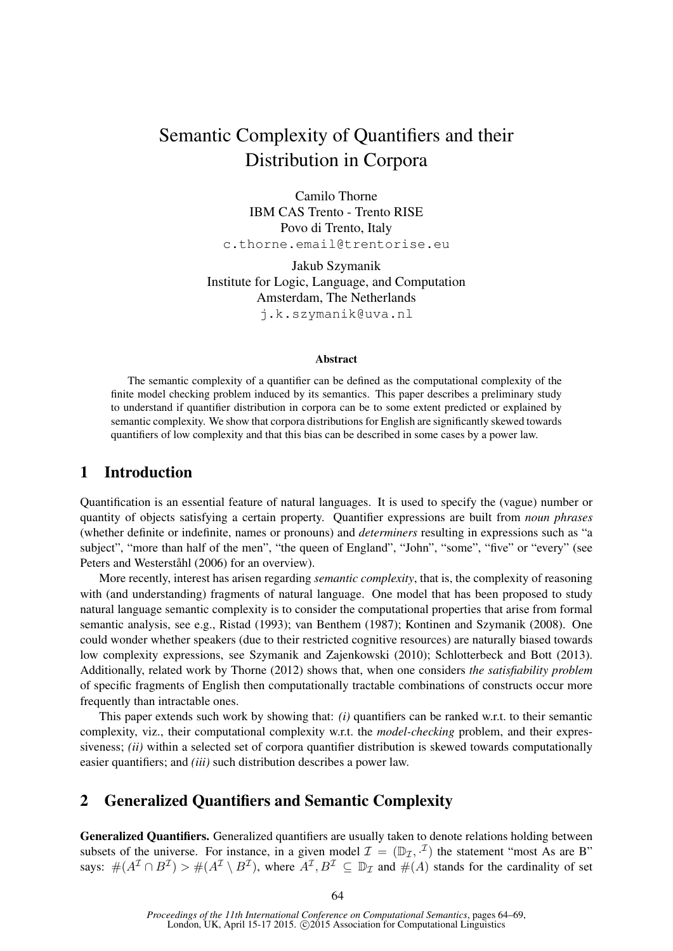# Semantic Complexity of Quantifiers and their Distribution in Corpora

Camilo Thorne IBM CAS Trento - Trento RISE Povo di Trento, Italy c.thorne.email@trentorise.eu

Jakub Szymanik Institute for Logic, Language, and Computation Amsterdam, The Netherlands j.k.szymanik@uva.nl

#### Abstract

The semantic complexity of a quantifier can be defined as the computational complexity of the finite model checking problem induced by its semantics. This paper describes a preliminary study to understand if quantifier distribution in corpora can be to some extent predicted or explained by semantic complexity. We show that corpora distributions for English are significantly skewed towards quantifiers of low complexity and that this bias can be described in some cases by a power law.

#### 1 Introduction

Quantification is an essential feature of natural languages. It is used to specify the (vague) number or quantity of objects satisfying a certain property. Quantifier expressions are built from *noun phrases* (whether definite or indefinite, names or pronouns) and *determiners* resulting in expressions such as "a subject", "more than half of the men", "the queen of England", "John", "some", "five" or "every" (see Peters and Westerståhl (2006) for an overview).

More recently, interest has arisen regarding *semantic complexity*, that is, the complexity of reasoning with (and understanding) fragments of natural language. One model that has been proposed to study natural language semantic complexity is to consider the computational properties that arise from formal semantic analysis, see e.g., Ristad (1993); van Benthem (1987); Kontinen and Szymanik (2008). One could wonder whether speakers (due to their restricted cognitive resources) are naturally biased towards low complexity expressions, see Szymanik and Zajenkowski (2010); Schlotterbeck and Bott (2013). Additionally, related work by Thorne (2012) shows that, when one considers *the satisfiability problem* of specific fragments of English then computationally tractable combinations of constructs occur more frequently than intractable ones.

This paper extends such work by showing that: *(i)* quantifiers can be ranked w.r.t. to their semantic complexity, viz., their computational complexity w.r.t. the *model-checking* problem, and their expressiveness; *(ii)* within a selected set of corpora quantifier distribution is skewed towards computationally easier quantifiers; and *(iii)* such distribution describes a power law.

#### 2 Generalized Quantifiers and Semantic Complexity

Generalized Quantifiers. Generalized quantifiers are usually taken to denote relations holding between subsets of the universe. For instance, in a given model  $\mathcal{I} = (\mathbb{D}_{\mathcal{I}}, \mathcal{I})$  the statement "most As are B" says:  $\#(A^{\mathcal{I}} \cap B^{\mathcal{I}}) > \#(A^{\mathcal{I}} \setminus B^{\mathcal{I}})$ , where  $A^{\mathcal{I}}, B^{\mathcal{I}} \subseteq \mathbb{D}_{\mathcal{I}}$  and  $\#(A)$  stands for the cardinality of set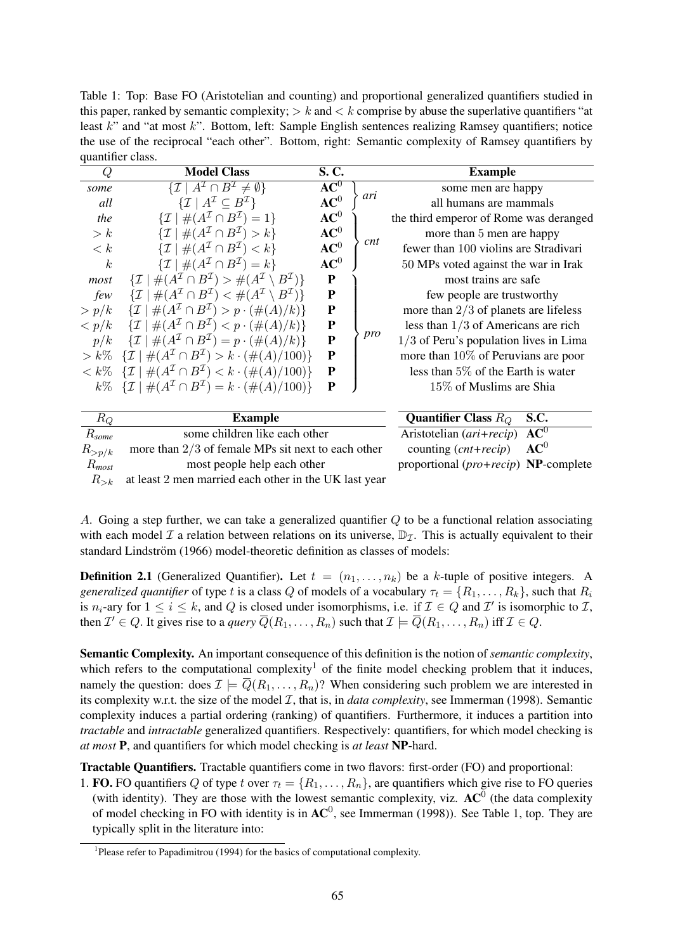Table 1: Top: Base FO (Aristotelian and counting) and proportional generalized quantifiers studied in this paper, ranked by semantic complexity;  $\geq k$  and  $\leq k$  comprise by abuse the superlative quantifiers "at least k" and "at most k". Bottom, left: Sample English sentences realizing Ramsey quantifiers; notice the use of the reciprocal "each other". Bottom, right: Semantic complexity of Ramsey quantifiers by quantifier class.

| л.                  |                                                                                                                  |                 |            |                                          |  |
|---------------------|------------------------------------------------------------------------------------------------------------------|-----------------|------------|------------------------------------------|--|
| Q                   | <b>Model Class</b>                                                                                               | S. C.           |            | <b>Example</b>                           |  |
| some                | $\overline{\{\mathcal{I}\mid A^{\mathcal{I}}\cap B^{\mathcal{I}}\neq\emptyset\}}$                                | $AC^0$          |            | some men are happy                       |  |
| all                 | $\{\mathcal{I} \mid A^{\mathcal{I}} \subseteq B^{\mathcal{I}}\}\$                                                | $\mathbf{AC}^0$ | ari        | all humans are mammals                   |  |
| the                 | $\{\mathcal{I} \mid \#(A^{\mathcal{I}} \cap B^{\mathcal{I}})=1\}$                                                | $AC^0$          |            | the third emperor of Rome was deranged   |  |
| > k                 | $\vert \#(A^{\mathcal{I}} \cap B^{\mathcal{I}}) > k \}$<br>$\{ \mathcal{I} \mid$                                 | $AC^0$          |            | more than 5 men are happy                |  |
| $\langle k$         | $\{\mathcal{I} \mid \#(A^{\mathcal{I}} \cap B^{\mathcal{I}}) < k\}$                                              | $AC^0$          | <i>cnt</i> | fewer than 100 violins are Stradivari    |  |
| $\boldsymbol{k}$    | $\{\mathcal{I} \mid \#(A^{\mathcal{I}} \cap B^{\mathcal{I}}) = k\}$                                              | $AC^0$          |            | 50 MPs voted against the war in Irak     |  |
| most                | $\{\mathcal{I} \mid \#(A^{\mathcal{I}} \cap B^{\mathcal{I}}) > \#(A^{\mathcal{I}} \setminus B^{\mathcal{I}})\}\$ | ${\bf P}$       |            | most trains are safe                     |  |
| few                 | $\#(A^{\mathcal{I}} \cap B^{\mathcal{I}}) < \#(A^{\mathcal{I}} \setminus B^{\mathcal{I}})\}$                     | ${\bf P}$       |            | few people are trustworthy               |  |
| > p/k               | $\{\mathcal{I} \mid \#(A^{\mathcal{I}} \cap B^{\mathcal{I}}) > p \cdot (\#(A)/k)\}\$                             | ${\bf P}$       |            | more than $2/3$ of planets are lifeless  |  |
| $\langle p/k$       | $\{\mathcal{I} \mid \#(A^{\mathcal{I}} \cap B^{\mathcal{I}}) < p \cdot (\#(A)/k)\}\$                             | ${\bf P}$       |            | less than $1/3$ of Americans are rich    |  |
| p/k                 | $\{\mathcal{I} \mid \#(A^{\mathcal{I}} \cap B^{\mathcal{I}}) = p \cdot (\#(A)/k)\}\$                             | ${\bf P}$       | pro        | $1/3$ of Peru's population lives in Lima |  |
| $> k\%$             | $\{\mathcal{I} \mid \#(A^{\mathcal{I}} \cap B^{\mathcal{I}}) > k \cdot (\#(A)/100)\}\$                           | ${\bf P}$       |            | more than $10\%$ of Peruvians are poor   |  |
| $\langle k \rangle$ | $\{\mathcal{I} \mid \#(A^{\mathcal{I}} \cap B^{\mathcal{I}}) < k \cdot (\#(A)/100)\}\$                           | ${\bf P}$       |            | less than $5\%$ of the Earth is water    |  |
|                     | $k\%$ $\{ \mathcal{I} \mid \#(A^{\mathcal{I}} \cap B^{\mathcal{I}}) = k \cdot (\#(A)/100) \}$                    | P               |            | 15\% of Muslims are Shia                 |  |
|                     |                                                                                                                  |                 |            |                                          |  |
| $R_Q$               | <b>Example</b>                                                                                                   |                 |            | Quantifier Class $R_O$<br>S.C.           |  |
| $R_{\textit{some}}$ | some children like each other                                                                                    |                 |            | $AC^0$<br>Aristotelian (ari+recip)       |  |
|                     |                                                                                                                  |                 |            |                                          |  |

| $R_{\text{some}}$ | some children like each other                                     | Aristotelian $(ari+recip)$ $AC^0$                      |  |
|-------------------|-------------------------------------------------------------------|--------------------------------------------------------|--|
| $R_{>n/k}$        | more than $2/3$ of female MPs sit next to each other              | counting $(\text{cnt} + \text{recip})$ $\mathbf{AC}^0$ |  |
| $R_{most}$        | most people help each other                                       | proportional $(pro+recip)$ NP-complete                 |  |
|                   | $R_{\ge k}$ at least 2 men married each other in the UK last year |                                                        |  |

A. Going a step further, we can take a generalized quantifier Q to be a functional relation associating with each model  $\mathcal I$  a relation between relations on its universe,  $\mathbb{D}_{\mathcal I}$ . This is actually equivalent to their standard Lindström (1966) model-theoretic definition as classes of models:

**Definition 2.1** (Generalized Quantifier). Let  $t = (n_1, \ldots, n_k)$  be a k-tuple of positive integers. A *generalized quantifier* of type t is a class Q of models of a vocabulary  $\tau_t = \{R_1, \ldots, R_k\}$ , such that  $R_i$ is  $n_i$ -ary for  $1 \le i \le k$ , and Q is closed under isomorphisms, i.e. if  $\mathcal{I} \in Q$  and  $\mathcal{I}'$  is isomorphic to  $\mathcal{I}$ , then  $\mathcal{I}' \in Q$ . It gives rise to a *query*  $\overline{Q}(R_1,\ldots,R_n)$  such that  $\mathcal{I} \models \overline{Q}(R_1,\ldots,R_n)$  iff  $\mathcal{I} \in Q$ .

Semantic Complexity. An important consequence of this definition is the notion of *semantic complexity*, which refers to the computational complexity<sup>1</sup> of the finite model checking problem that it induces, namely the question: does  $\mathcal{I} \models \overline{Q}(R_1, \ldots, R_n)$ ? When considering such problem we are interested in its complexity w.r.t. the size of the model  $I$ , that is, in *data complexity*, see Immerman (1998). Semantic complexity induces a partial ordering (ranking) of quantifiers. Furthermore, it induces a partition into *tractable* and *intractable* generalized quantifiers. Respectively: quantifiers, for which model checking is *at most* P, and quantifiers for which model checking is *at least* NP-hard.

Tractable Quantifiers. Tractable quantifiers come in two flavors: first-order (FO) and proportional:

1. FO. FO quantifiers Q of type t over  $\tau_t = \{R_1, \ldots, R_n\}$ , are quantifiers which give rise to FO queries (with identity). They are those with the lowest semantic complexity, viz.  $AC^0$  (the data complexity of model checking in FO with identity is in  $AC^0$ , see Immerman (1998)). See Table 1, top. They are typically split in the literature into:

<sup>&</sup>lt;sup>1</sup>Please refer to Papadimitrou (1994) for the basics of computational complexity.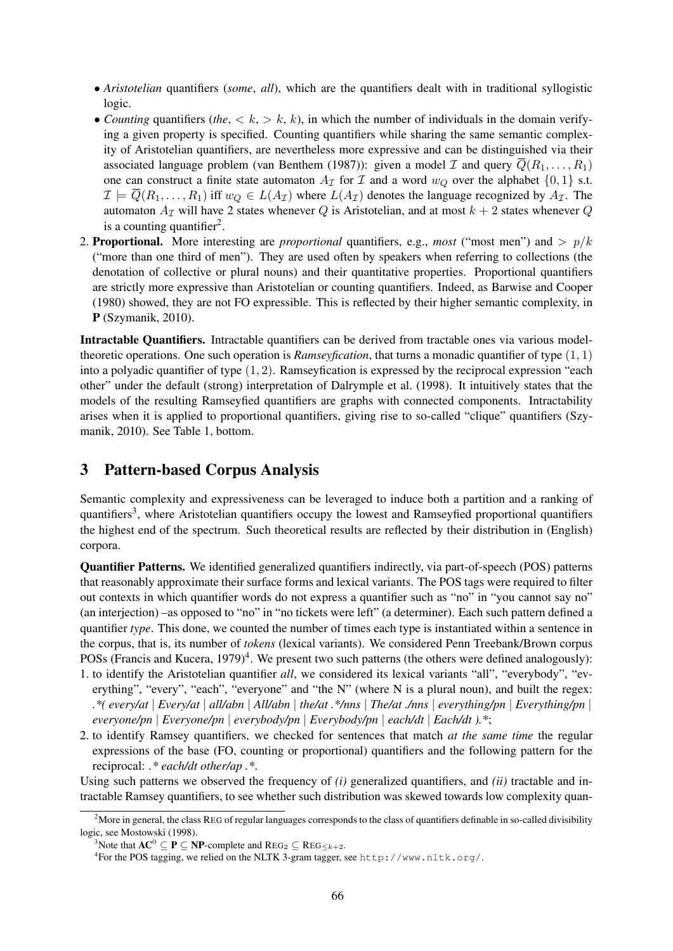- *Aristotelian* quantifiers (*some*, *all*), which are the quantifiers dealt with in traditional syllogistic logic.
- *Counting* quantifiers (*the*,  $\langle k, \rangle k$ , k), in which the number of individuals in the domain verifying a given property is specified. Counting quantifiers while sharing the same semantic complexity of Aristotelian quantifiers, are nevertheless more expressive and can be distinguished via their associated language problem (van Benthem (1987)): given a model  $\mathcal I$  and query  $\overline{Q}(R_1,\ldots,R_1)$ one can construct a finite state automaton  $A_{\mathcal{I}}$  for  $\mathcal{I}$  and a word  $w_Q$  over the alphabet  $\{0, 1\}$  s.t.  $\mathcal{I} \models \overline{Q}(R_1,\ldots,R_1)$  iff  $w_Q \in L(A_{\mathcal{I}})$  where  $L(A_{\mathcal{I}})$  denotes the language recognized by  $A_{\mathcal{I}}$ . The automaton  $A_{\mathcal{I}}$  will have 2 states whenever Q is Aristotelian, and at most  $k + 2$  states whenever Q is a counting quantifier<sup>2</sup>.
- 2. **Proportional.** More interesting are *proportional* quantifiers, e.g., *most* ("most men") and  $> p/k$ ("more than one third of men"). They are used often by speakers when referring to collections (the denotation of collective or plural nouns) and their quantitative properties. Proportional quantifiers are strictly more expressive than Aristotelian or counting quantifiers. Indeed, as Barwise and Cooper (1980) showed, they are not FO expressible. This is reflected by their higher semantic complexity, in P (Szymanik, 2010).

Intractable Quantifiers. Intractable quantifiers can be derived from tractable ones via various modeltheoretic operations. One such operation is *Ramseyfication*, that turns a monadic quantifier of type (1, 1) into a polyadic quantifier of type  $(1, 2)$ . Ramseyfication is expressed by the reciprocal expression "each other" under the default (strong) interpretation of Dalrymple et al. (1998). It intuitively states that the models of the resulting Ramseyfied quantifiers are graphs with connected components. Intractability arises when it is applied to proportional quantifiers, giving rise to so-called "clique" quantifiers (Szymanik, 2010). See Table 1, bottom.

## 3 Pattern-based Corpus Analysis

Semantic complexity and expressiveness can be leveraged to induce both a partition and a ranking of quantifiers<sup>3</sup>, where Aristotelian quantifiers occupy the lowest and Ramseyfied proportional quantifiers the highest end of the spectrum. Such theoretical results are reflected by their distribution in (English) corpora.

Quantifier Patterns. We identified generalized quantifiers indirectly, via part-of-speech (POS) patterns that reasonably approximate their surface forms and lexical variants. The POS tags were required to filter out contexts in which quantifier words do not express a quantifier such as "no" in "you cannot say no" (an interjection) –as opposed to "no" in "no tickets were left" (a determiner). Each such pattern defined a quantifier *type*. This done, we counted the number of times each type is instantiated within a sentence in the corpus, that is, its number of *tokens* (lexical variants). We considered Penn Treebank/Brown corpus POSs (Francis and Kucera, 1979)<sup>4</sup>. We present two such patterns (the others were defined analogously):

- 1. to identify the Aristotelian quantifier *all*, we considered its lexical variants "all", "everybody", "everything", "every", "each", "everyone" and "the N" (where N is a plural noun), and built the regex: *.\*( every/at* | *Every/at* | *all/abn* | *All/abn* | *the/at .\*/nns* | *The/at ./nns* | *everything/pn* | *Everything/pn* | *everyone/pn* | *Everyone/pn* | *everybody/pn* | *Everybody/pn* | *each/dt* | *Each/dt ).\**;
- 2. to identify Ramsey quantifiers, we checked for sentences that match *at the same time* the regular expressions of the base (FO, counting or proportional) quantifiers and the following pattern for the reciprocal: *.\* each/dt other/ap .\**.

Using such patterns we observed the frequency of *(i)* generalized quantifiers, and *(ii)* tractable and intractable Ramsey quantifiers, to see whether such distribution was skewed towards low complexity quan-

 $<sup>2</sup>$  More in general, the class REG of regular languages corresponds to the class of quantifiers definable in so-called divisibility</sup> logic, see Mostowski (1998).

<sup>&</sup>lt;sup>3</sup>Note that  $AC^0 \subseteq P \subseteq NP$ -complete and  $REG_2 \subseteq REG_{&+2}$ .

<sup>4</sup> For the POS tagging, we relied on the NLTK 3-gram tagger, see http://www.nltk.org/.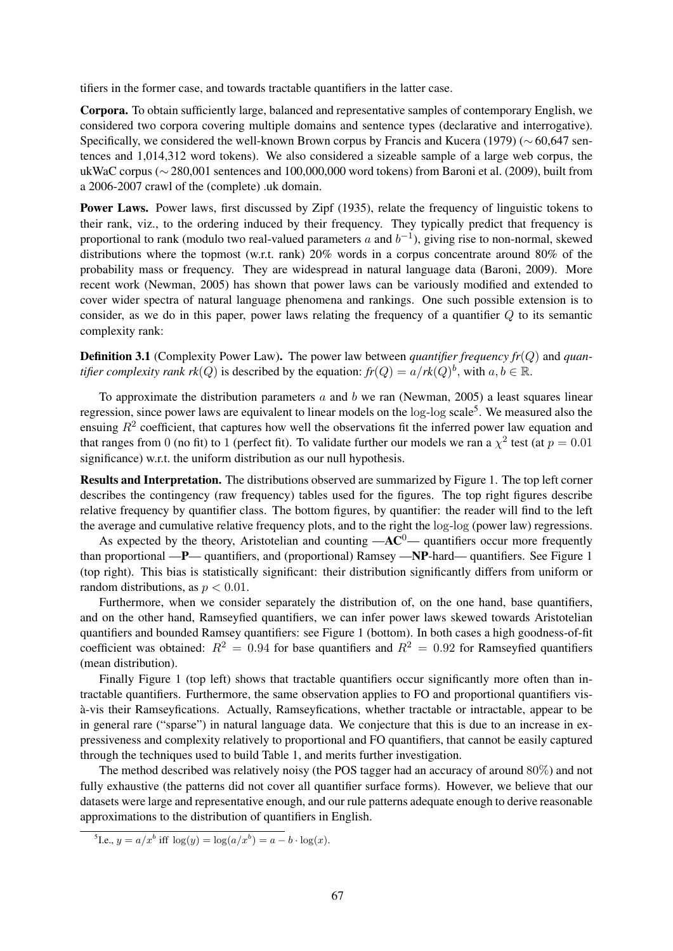tifiers in the former case, and towards tractable quantifiers in the latter case.

Corpora. To obtain sufficiently large, balanced and representative samples of contemporary English, we considered two corpora covering multiple domains and sentence types (declarative and interrogative). Specifically, we considered the well-known Brown corpus by Francis and Kucera (1979) (∼ 60,647 sentences and 1,014,312 word tokens). We also considered a sizeable sample of a large web corpus, the ukWaC corpus (∼ 280,001 sentences and 100,000,000 word tokens) from Baroni et al. (2009), built from a 2006-2007 crawl of the (complete) .uk domain.

Power Laws. Power laws, first discussed by Zipf (1935), relate the frequency of linguistic tokens to their rank, viz., to the ordering induced by their frequency. They typically predict that frequency is proportional to rank (modulo two real-valued parameters a and  $b^{-1}$ ), giving rise to non-normal, skewed distributions where the topmost (w.r.t. rank)  $20\%$  words in a corpus concentrate around 80% of the probability mass or frequency. They are widespread in natural language data (Baroni, 2009). More recent work (Newman, 2005) has shown that power laws can be variously modified and extended to cover wider spectra of natural language phenomena and rankings. One such possible extension is to consider, as we do in this paper, power laws relating the frequency of a quantifier Q to its semantic complexity rank:

**Definition 3.1** (Complexity Power Law). The power law between *quantifier frequency fr*(Q) and *quantifier complexity rank rk*(*Q*) is described by the equation:  $fr(Q) = a/rk(Q)^b$ , with  $a, b \in \mathbb{R}$ .

To approximate the distribution parameters  $a$  and  $b$  we ran (Newman, 2005) a least squares linear regression, since power laws are equivalent to linear models on the log-log scale<sup>5</sup>. We measured also the ensuing  $R^2$  coefficient, that captures how well the observations fit the inferred power law equation and that ranges from 0 (no fit) to 1 (perfect fit). To validate further our models we ran a  $\chi^2$  test (at  $p = 0.01$ significance) w.r.t. the uniform distribution as our null hypothesis.

Results and Interpretation. The distributions observed are summarized by Figure 1. The top left corner describes the contingency (raw frequency) tables used for the figures. The top right figures describe relative frequency by quantifier class. The bottom figures, by quantifier: the reader will find to the left the average and cumulative relative frequency plots, and to the right the log-log (power law) regressions.

As expected by the theory, Aristotelian and counting  $-AC^0$ — quantifiers occur more frequently than proportional —P— quantifiers, and (proportional) Ramsey —NP-hard— quantifiers. See Figure 1 (top right). This bias is statistically significant: their distribution significantly differs from uniform or random distributions, as  $p < 0.01$ .

Furthermore, when we consider separately the distribution of, on the one hand, base quantifiers, and on the other hand, Ramseyfied quantifiers, we can infer power laws skewed towards Aristotelian quantifiers and bounded Ramsey quantifiers: see Figure 1 (bottom). In both cases a high goodness-of-fit coefficient was obtained:  $R^2 = 0.94$  for base quantifiers and  $R^2 = 0.92$  for Ramseyfied quantifiers (mean distribution).

Finally Figure 1 (top left) shows that tractable quantifiers occur significantly more often than intractable quantifiers. Furthermore, the same observation applies to FO and proportional quantifiers visa-vis their Ramseyfications. Actually, Ramseyfications, whether tractable or intractable, appear to be ` in general rare ("sparse") in natural language data. We conjecture that this is due to an increase in expressiveness and complexity relatively to proportional and FO quantifiers, that cannot be easily captured through the techniques used to build Table 1, and merits further investigation.

The method described was relatively noisy (the POS tagger had an accuracy of around 80%) and not fully exhaustive (the patterns did not cover all quantifier surface forms). However, we believe that our datasets were large and representative enough, and our rule patterns adequate enough to derive reasonable approximations to the distribution of quantifiers in English.

<sup>5</sup>I.e.,  $y = a/x^b$  iff  $\log(y) = \log(a/x^b) = a - b \cdot \log(x)$ .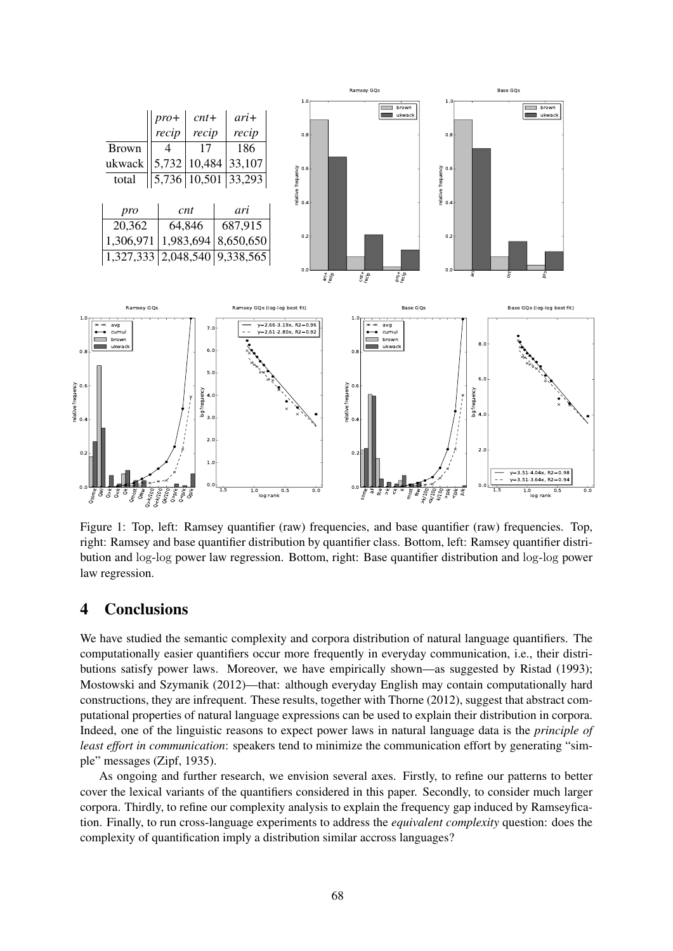

Figure 1: Top, left: Ramsey quantifier (raw) frequencies, and base quantifier (raw) frequencies. Top, right: Ramsey and base quantifier distribution by quantifier class. Bottom, left: Ramsey quantifier distribution and log-log power law regression. Bottom, right: Base quantifier distribution and log-log power law regression.

#### 4 Conclusions

We have studied the semantic complexity and corpora distribution of natural language quantifiers. The computationally easier quantifiers occur more frequently in everyday communication, i.e., their distributions satisfy power laws. Moreover, we have empirically shown—as suggested by Ristad (1993); Mostowski and Szymanik (2012)—that: although everyday English may contain computationally hard constructions, they are infrequent. These results, together with Thorne (2012), suggest that abstract computational properties of natural language expressions can be used to explain their distribution in corpora. Indeed, one of the linguistic reasons to expect power laws in natural language data is the *principle of least effort in communication*: speakers tend to minimize the communication effort by generating "simple" messages (Zipf, 1935).

As ongoing and further research, we envision several axes. Firstly, to refine our patterns to better cover the lexical variants of the quantifiers considered in this paper. Secondly, to consider much larger corpora. Thirdly, to refine our complexity analysis to explain the frequency gap induced by Ramseyfication. Finally, to run cross-language experiments to address the *equivalent complexity* question: does the complexity of quantification imply a distribution similar accross languages?